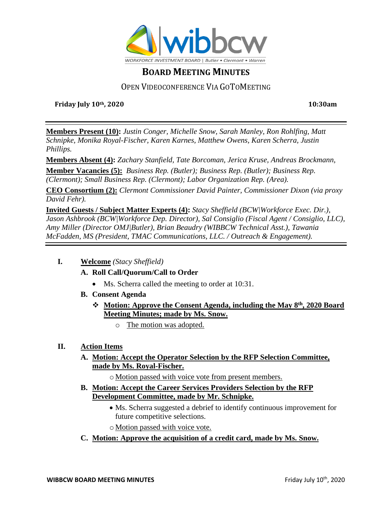

# **BOARD MEETING MINUTES**

### OPEN VIDEOCONFERENCE VIA GOTOMEETING

**Friday July 10th, 2020 10:30am**

**Members Present (10):** *Justin Conger, Michelle Snow, Sarah Manley, Ron Rohlfing, Matt Schnipke, Monika Royal-Fischer, Karen Karnes, Matthew Owens, Karen Scherra, Justin Phillips.*

**Members Absent (4):** *Zachary Stanfield, Tate Borcoman, Jerica Kruse, Andreas Brockmann,*

**Member Vacancies (5):** *Business Rep. (Butler); Business Rep. (Butler); Business Rep. (Clermont); Small Business Rep. (Clermont); Labor Organization Rep. (Area).*

**CEO Consortium (2):** *Clermont Commissioner David Painter, Commissioner Dixon (via proxy David Fehr).*

**Invited Guests / Subject Matter Experts (4):** *Stacy Sheffield (BCW|Workforce Exec. Dir.), Jason Ashbrook (BCW|Workforce Dep. Director), Sal Consiglio (Fiscal Agent / Consiglio, LLC), Amy Miller (Director OMJ|Butler), Brian Beaudry (WIBBCW Technical Asst.), Tawania McFadden, MS (President, TMAC Communications, LLC. / Outreach & Engagement).*

#### **I. Welcome** *(Stacy Sheffield)*

#### **A. Roll Call/Quorum/Call to Order**

- Ms. Scherra called the meeting to order at 10:31.
- **B. Consent Agenda**
	- ❖ **Motion: Approve the Consent Agenda, including the May 8th , 2020 Board Meeting Minutes; made by Ms. Snow.**
		- o The motion was adopted.

#### **II. Action Items**

- **A. Motion: Accept the Operator Selection by the RFP Selection Committee, made by Ms. Royal-Fischer.**
	- o Motion passed with voice vote from present members.
- **B. Motion: Accept the Career Services Providers Selection by the RFP Development Committee, made by Mr. Schnipke.**
	- Ms. Scherra suggested a debrief to identify continuous improvement for future competitive selections.
	- o Motion passed with voice vote.
- **C. Motion: Approve the acquisition of a credit card, made by Ms. Snow.**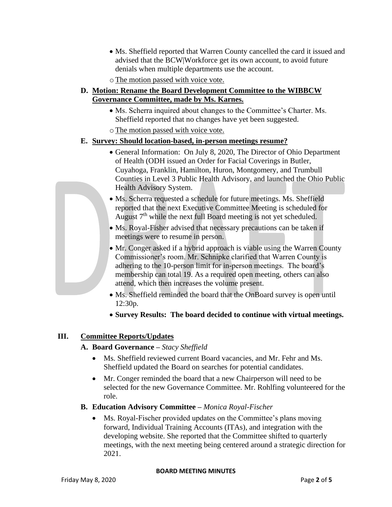- Ms. Sheffield reported that Warren County cancelled the card it issued and advised that the BCW|Workforce get its own account, to avoid future denials when multiple departments use the account.
- o The motion passed with voice vote.

#### **D. Motion: Rename the Board Development Committee to the WIBBCW Governance Committee, made by Ms. Karnes.**

- Ms. Scherra inquired about changes to the Committee's Charter. Ms. Sheffield reported that no changes have yet been suggested.
- oThe motion passed with voice vote.

#### **E. Survey: Should location-based, in-person meetings resume?**

- General Information: On July 8, 2020, The Director of Ohio Department of Health (ODH issued an Order for Facial Coverings in Butler, Cuyahoga, Franklin, Hamilton, Huron, Montgomery, and Trumbull Counties in Level 3 Public Health Advisory, and launched the Ohio Public Health Advisory System.
- Ms. Scherra requested a schedule for future meetings. Ms. Sheffield reported that the next Executive Committee Meeting is scheduled for August  $7<sup>th</sup>$  while the next full Board meeting is not yet scheduled.
- Ms. Royal-Fisher advised that necessary precautions can be taken if meetings were to resume in person.
- Mr. Conger asked if a hybrid approach is viable using the Warren County Commissioner's room. Mr. Schnipke clarified that Warren County is adhering to the 10-person limit for in-person meetings. The board's membership can total 19. As a required open meeting, others can also attend, which then increases the volume present.
- Ms. Sheffield reminded the board that the OnBoard survey is open until 12:30p.
- **Survey Results: The board decided to continue with virtual meetings.**

#### **III. Committee Reports/Updates**

#### **A. Board Governance –** *Stacy Sheffield*

- Ms. Sheffield reviewed current Board vacancies, and Mr. Fehr and Ms. Sheffield updated the Board on searches for potential candidates.
- Mr. Conger reminded the board that a new Chairperson will need to be selected for the new Governance Committee. Mr. Rohlfing volunteered for the role.

#### **B. Education Advisory Committee –** *Monica Royal-Fischer*

• Ms. Royal-Fischer provided updates on the Committee's plans moving forward, Individual Training Accounts (ITAs), and integration with the developing website. She reported that the Committee shifted to quarterly meetings, with the next meeting being centered around a strategic direction for 2021.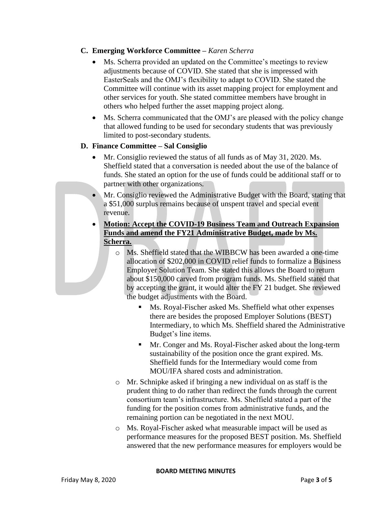#### **C. Emerging Workforce Committee –** *Karen Scherra*

- Ms. Scherra provided an updated on the Committee's meetings to review adjustments because of COVID. She stated that she is impressed with EasterSeals and the OMJ's flexibility to adapt to COVID. She stated the Committee will continue with its asset mapping project for employment and other services for youth. She stated committee members have brought in others who helped further the asset mapping project along.
- Ms. Scherra communicated that the OMJ's are pleased with the policy change that allowed funding to be used for secondary students that was previously limited to post-secondary students.

#### **D. Finance Committee – Sal Consiglio**

- Mr. Consiglio reviewed the status of all funds as of May 31, 2020. Ms. Sheffield stated that a conversation is needed about the use of the balance of funds. She stated an option for the use of funds could be additional staff or to partner with other organizations.
- Mr. Consiglio reviewed the Administrative Budget with the Board, stating that a \$51,000 surplus remains because of unspent travel and special event revenue.
- **Motion: Accept the COVID-19 Business Team and Outreach Expansion Funds and amend the FY21 Administrative Budget, made by Ms. Scherra.**
	- o Ms. Sheffield stated that the WIBBCW has been awarded a one-time allocation of \$202,000 in COVID relief funds to formalize a Business Employer Solution Team. She stated this allows the Board to return about \$150,000 carved from program funds. Ms. Sheffield stated that by accepting the grant, it would alter the FY 21 budget. She reviewed the budget adjustments with the Board.
		- Ms. Royal-Fischer asked Ms. Sheffield what other expenses there are besides the proposed Employer Solutions (BEST) Intermediary, to which Ms. Sheffield shared the Administrative Budget's line items.
		- Mr. Conger and Ms. Royal-Fischer asked about the long-term sustainability of the position once the grant expired. Ms. Sheffield funds for the Intermediary would come from MOU/IFA shared costs and administration.
	- o Mr. Schnipke asked if bringing a new individual on as staff is the prudent thing to do rather than redirect the funds through the current consortium team's infrastructure. Ms. Sheffield stated a part of the funding for the position comes from administrative funds, and the remaining portion can be negotiated in the next MOU.
	- o Ms. Royal-Fischer asked what measurable impact will be used as performance measures for the proposed BEST position. Ms. Sheffield answered that the new performance measures for employers would be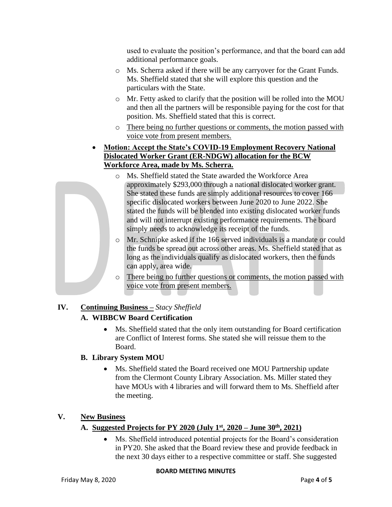used to evaluate the position's performance, and that the board can add additional performance goals.

- o Ms. Scherra asked if there will be any carryover for the Grant Funds. Ms. Sheffield stated that she will explore this question and the particulars with the State.
- o Mr. Fetty asked to clarify that the position will be rolled into the MOU and then all the partners will be responsible paying for the cost for that position. Ms. Sheffield stated that this is correct.
- o There being no further questions or comments, the motion passed with voice vote from present members.
- **Motion: Accept the State's COVID-19 Employment Recovery National Dislocated Worker Grant (ER-NDGW) allocation for the BCW Workforce Area, made by Ms. Scherra.**
	- o Ms. Sheffield stated the State awarded the Workforce Area approximately \$293,000 through a national dislocated worker grant. She stated these funds are simply additional resources to cover 166 specific dislocated workers between June 2020 to June 2022. She stated the funds will be blended into existing dislocated worker funds and will not interrupt existing performance requirements. The board simply needs to acknowledge its receipt of the funds.
	- o Mr. Schnipke asked if the 166 served individuals is a mandate or could the funds be spread out across other areas. Ms. Sheffield stated that as long as the individuals qualify as dislocated workers, then the funds can apply, area wide.
	- o There being no further questions or comments, the motion passed with voice vote from present members.

### **IV. Continuing Business –** *Stacy Sheffield*

### **A. WIBBCW Board Certification**

• Ms. Sheffield stated that the only item outstanding for Board certification are Conflict of Interest forms. She stated she will reissue them to the Board.

### **B. Library System MOU**

• Ms. Sheffield stated the Board received one MOU Partnership update from the Clermont County Library Association. Ms. Miller stated they have MOUs with 4 libraries and will forward them to Ms. Sheffield after the meeting.

### **V. New Business**

### **A. Suggested Projects for PY 2020 (July 1st, 2020 – June 30th, 2021)**

• Ms. Sheffield introduced potential projects for the Board's consideration in PY20. She asked that the Board review these and provide feedback in the next 30 days either to a respective committee or staff. She suggested

#### **BOARD MEETING MINUTES**